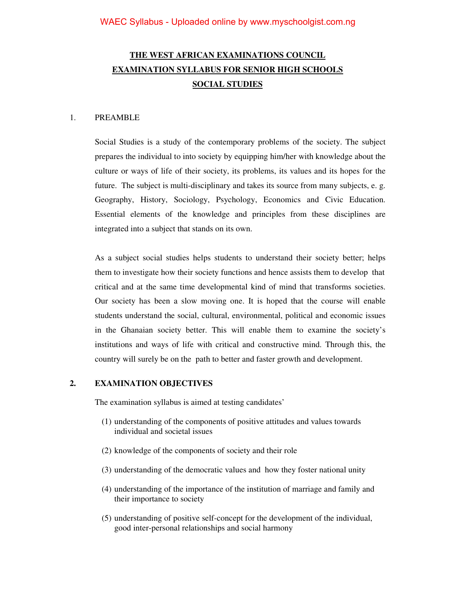# **THE WEST AFRICAN EXAMINATIONS COUNCIL EXAMINATION SYLLABUS FOR SENIOR HIGH SCHOOLS SOCIAL STUDIES**

#### 1. PREAMBLE

 Social Studies is a study of the contemporary problems of the society. The subject prepares the individual to into society by equipping him/her with knowledge about the culture or ways of life of their society, its problems, its values and its hopes for the future. The subject is multi-disciplinary and takes its source from many subjects, e. g. Geography, History, Sociology, Psychology, Economics and Civic Education. Essential elements of the knowledge and principles from these disciplines are integrated into a subject that stands on its own.

 As a subject social studies helps students to understand their society better; helps them to investigate how their society functions and hence assists them to develop that critical and at the same time developmental kind of mind that transforms societies. Our society has been a slow moving one. It is hoped that the course will enable students understand the social, cultural, environmental, political and economic issues in the Ghanaian society better. This will enable them to examine the society's institutions and ways of life with critical and constructive mind. Through this, the country will surely be on the path to better and faster growth and development.

#### **2. EXAMINATION OBJECTIVES**

The examination syllabus is aimed at testing candidates'

- (1) understanding of the components of positive attitudes and values towards individual and societal issues
- (2) knowledge of the components of society and their role
- (3) understanding of the democratic values and how they foster national unity
- (4) understanding of the importance of the institution of marriage and family and their importance to society
- (5) understanding of positive self-concept for the development of the individual, good inter-personal relationships and social harmony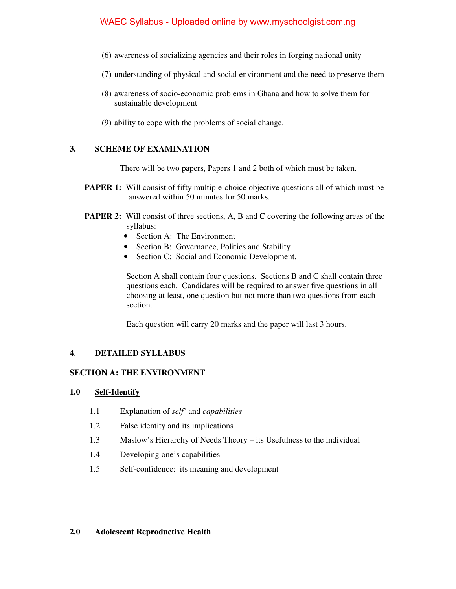- (6) awareness of socializing agencies and their roles in forging national unity
- (7) understanding of physical and social environment and the need to preserve them
- (8) awareness of socio-economic problems in Ghana and how to solve them for sustainable development
- (9) ability to cope with the problems of social change.

## **3. SCHEME OF EXAMINATION**

There will be two papers, Papers 1 and 2 both of which must be taken.

- **PAPER 1:** Will consist of fifty multiple-choice objective questions all of which must be answered within 50 minutes for 50 marks.
- **PAPER 2:** Will consist of three sections, A, B and C covering the following areas of the syllabus:
	- Section A: The Environment
	- Section B: Governance, Politics and Stability
	- Section C: Social and Economic Development.

 Section A shall contain four questions. Sections B and C shall contain three questions each. Candidates will be required to answer five questions in all choosing at least, one question but not more than two questions from each section.

Each question will carry 20 marks and the paper will last 3 hours.

## **4**. **DETAILED SYLLABUS**

# **SECTION A: THE ENVIRONMENT**

## **1.0 Self-Identify**

- 1.1 Explanation of *self*' and *capabilities*
- 1.2 False identity and its implications
- 1.3 Maslow's Hierarchy of Needs Theory its Usefulness to the individual
- 1.4 Developing one's capabilities
- 1.5 Self-confidence: its meaning and development

## **2.0 Adolescent Reproductive Health**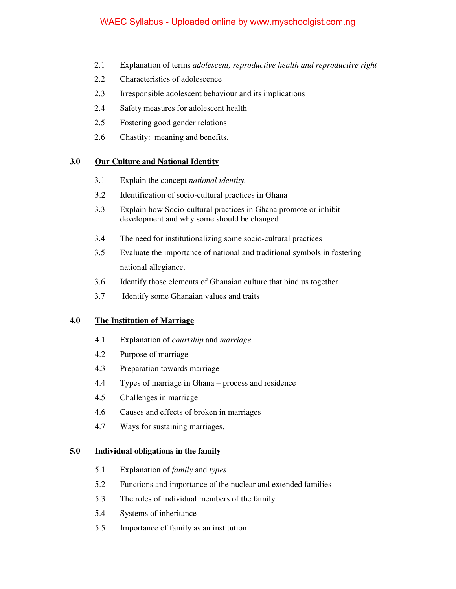- 2.1 Explanation of terms *adolescent, reproductive health and reproductive right*
- 2.2 Characteristics of adolescence
- 2.3 Irresponsible adolescent behaviour and its implications
- 2.4 Safety measures for adolescent health
- 2.5 Fostering good gender relations
- 2.6 Chastity: meaning and benefits.

# **3.0 Our Culture and National Identity**

- 3.1 Explain the concept *national identity.*
- 3.2 Identification of socio-cultural practices in Ghana
- 3.3 Explain how Socio-cultural practices in Ghana promote or inhibit development and why some should be changed
- 3.4 The need for institutionalizing some socio-cultural practices
- 3.5 Evaluate the importance of national and traditional symbols in fostering national allegiance.
- 3.6 Identify those elements of Ghanaian culture that bind us together
- 3.7 Identify some Ghanaian values and traits

## **4.0 The Institution of Marriage**

- 4.1 Explanation of *courtship* and *marriage*
- 4.2 Purpose of marriage
- 4.3 Preparation towards marriage
- 4.4 Types of marriage in Ghana process and residence
- 4.5 Challenges in marriage
- 4.6 Causes and effects of broken in marriages
- 4.7 Ways for sustaining marriages.

## **5.0 Individual obligations in the family**

- 5.1 Explanation of *family* and *types*
- 5.2 Functions and importance of the nuclear and extended families
- 5.3 The roles of individual members of the family
- 5.4 Systems of inheritance
- 5.5 Importance of family as an institution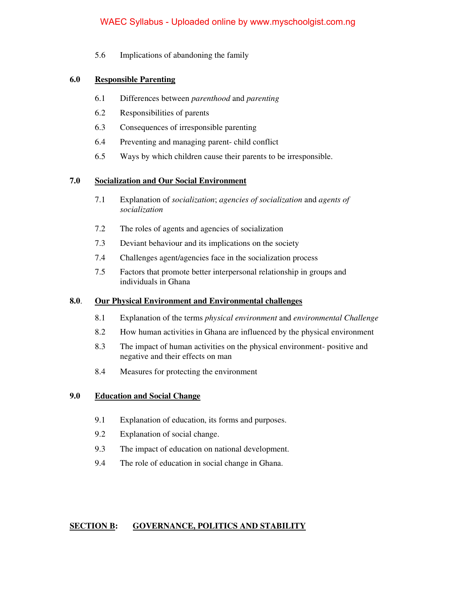5.6 Implications of abandoning the family

## **6.0 Responsible Parenting**

- 6.1 Differences between *parenthood* and *parenting*
- 6.2 Responsibilities of parents
- 6.3 Consequences of irresponsible parenting
- 6.4 Preventing and managing parent- child conflict
- 6.5 Ways by which children cause their parents to be irresponsible.

#### **7.0 Socialization and Our Social Environment**

- 7.1 Explanation of *socialization*; *agencies of socialization* and *agents of socialization*
- 7.2 The roles of agents and agencies of socialization
- 7.3 Deviant behaviour and its implications on the society
- 7.4 Challenges agent/agencies face in the socialization process
- 7.5 Factors that promote better interpersonal relationship in groups and individuals in Ghana

#### **8.0**. **Our Physical Environment and Environmental challenges**

- 8.1 Explanation of the terms *physical environment* and *environmental Challenge*
- 8.2 How human activities in Ghana are influenced by the physical environment
- 8.3 The impact of human activities on the physical environment- positive and negative and their effects on man
- 8.4 Measures for protecting the environment

#### **9.0 Education and Social Change**

- 9.1 Explanation of education, its forms and purposes.
- 9.2 Explanation of social change.
- 9.3 The impact of education on national development.
- 9.4 The role of education in social change in Ghana.

## **SECTION B: GOVERNANCE, POLITICS AND STABILITY**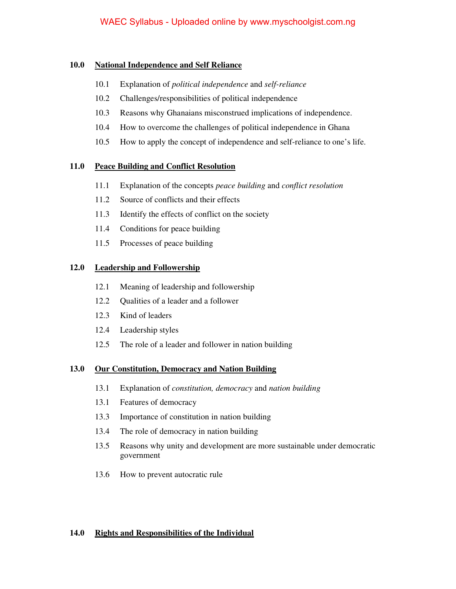## **10.0 National Independence and Self Reliance**

- 10.1 Explanation of *political independence* and *self-reliance*
- 10.2 Challenges/responsibilities of political independence
- 10.3 Reasons why Ghanaians misconstrued implications of independence.
- 10.4 How to overcome the challenges of political independence in Ghana
- 10.5 How to apply the concept of independence and self-reliance to one's life.

## **11.0 Peace Building and Conflict Resolution**

- 11.1 Explanation of the concepts *peace building* and *conflict resolution*
- 11.2 Source of conflicts and their effects
- 11.3 Identify the effects of conflict on the society
- 11.4 Conditions for peace building
- 11.5 Processes of peace building

# **12.0 Leadership and Followership**

- 12.1 Meaning of leadership and followership
- 12.2 Qualities of a leader and a follower
- 12.3 Kind of leaders
- 12.4 Leadership styles
- 12.5 The role of a leader and follower in nation building

## **13.0 Our Constitution, Democracy and Nation Building**

- 13.1 Explanation of *constitution, democracy* and *nation building*
- 13.1 Features of democracy
- 13.3 Importance of constitution in nation building
- 13.4 The role of democracy in nation building
- 13.5 Reasons why unity and development are more sustainable under democratic government
- 13.6 How to prevent autocratic rule

## **14.0 Rights and Responsibilities of the Individual**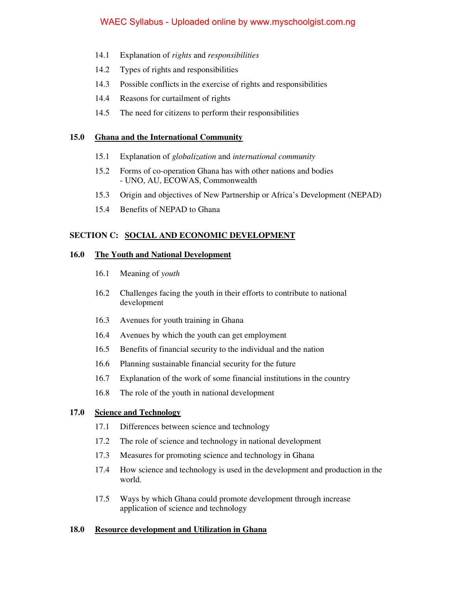- 14.1 Explanation of *rights* and *responsibilities*
- 14.2 Types of rights and responsibilities
- 14.3 Possible conflicts in the exercise of rights and responsibilities
- 14.4 Reasons for curtailment of rights
- 14.5 The need for citizens to perform their responsibilities

#### **15.0 Ghana and the International Community**

- 15.1 Explanation of *globalization* and *international community*
- 15.2 Forms of co-operation Ghana has with other nations and bodies - UNO, AU, ECOWAS, Commonwealth
- 15.3 Origin and objectives of New Partnership or Africa's Development (NEPAD)
- 15.4 Benefits of NEPAD to Ghana

## **SECTION C: SOCIAL AND ECONOMIC DEVELOPMENT**

#### **16.0 The Youth and National Development**

- 16.1 Meaning of *youth*
- 16.2 Challenges facing the youth in their efforts to contribute to national development
- 16.3 Avenues for youth training in Ghana
- 16.4 Avenues by which the youth can get employment
- 16.5 Benefits of financial security to the individual and the nation
- 16.6 Planning sustainable financial security for the future
- 16.7 Explanation of the work of some financial institutions in the country
- 16.8 The role of the youth in national development

#### **17.0 Science and Technology**

- 17.1 Differences between science and technology
- 17.2 The role of science and technology in national development
- 17.3 Measures for promoting science and technology in Ghana
- 17.4 How science and technology is used in the development and production in the world.
- 17.5 Ways by which Ghana could promote development through increase application of science and technology

#### **18.0 Resource development and Utilization in Ghana**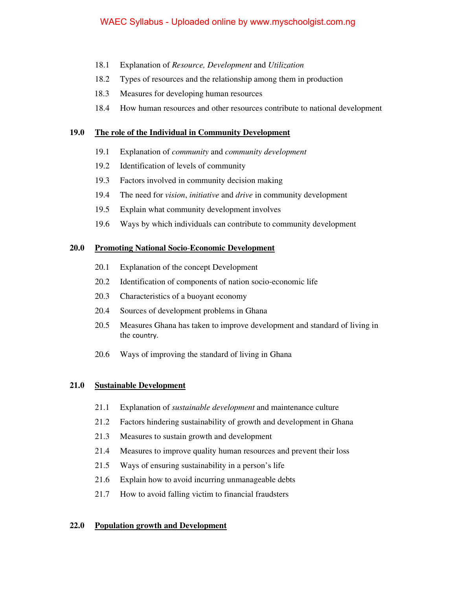- 18.1 Explanation of *Resource, Development* and *Utilization*
- 18.2 Types of resources and the relationship among them in production
- 18.3 Measures for developing human resources
- 18.4 How human resources and other resources contribute to national development

#### **19.0 The role of the Individual in Community Development**

- 19.1 Explanation of *community* and *community development*
- 19.2 Identification of levels of community
- 19.3 Factors involved in community decision making
- 19.4 The need for *vision*, *initiative* and *drive* in community development
- 19.5 Explain what community development involves
- 19.6 Ways by which individuals can contribute to community development

#### **20.0 Promoting National Socio**-**Economic Development**

- 20.1 Explanation of the concept Development
- 20.2 Identification of components of nation socio-economic life
- 20.3 Characteristics of a buoyant economy
- 20.4 Sources of development problems in Ghana
- 20.5 Measures Ghana has taken to improve development and standard of living in the country.
- 20.6 Ways of improving the standard of living in Ghana

#### **21.0 Sustainable Development**

- 21.1 Explanation of *sustainable development* and maintenance culture
- 21.2 Factors hindering sustainability of growth and development in Ghana
- 21.3 Measures to sustain growth and development
- 21.4 Measures to improve quality human resources and prevent their loss
- 21.5 Ways of ensuring sustainability in a person's life
- 21.6 Explain how to avoid incurring unmanageable debts
- 21.7 How to avoid falling victim to financial fraudsters

## **22.0 Population growth and Development**